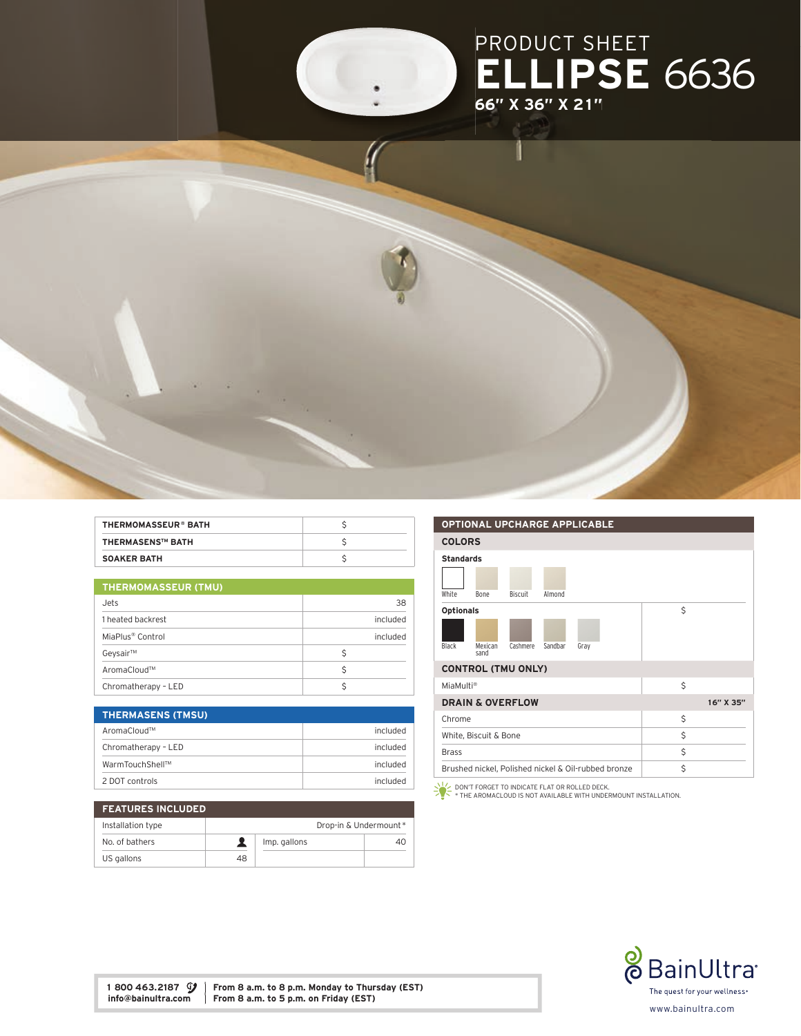

| <b>THERMOMASSEUR® BATH</b> |  |
|----------------------------|--|
| <b>THERMASENS™ BATH</b>    |  |
| <b>SOAKER BATH</b>         |  |

| <b>THERMOMASSEUR (TMU)</b> |  |
|----------------------------|--|
|                            |  |

| Jets                         | 38       |
|------------------------------|----------|
| 1 heated backrest            | included |
| MiaPlus <sup>®</sup> Control | included |
| Geysair™                     |          |
| AromaCloud™                  |          |
| Chromatherapy - LED          |          |

| <b>THERMASENS (TMSU)</b> |          |
|--------------------------|----------|
| AromaCloud™              | included |
| Chromatherapy - LED      | included |
| WarmTouchShell™          | included |
| 2 DOT controls           | included |

| <b>FEATURES INCLUDED</b> |    |              |                       |
|--------------------------|----|--------------|-----------------------|
| Installation type        |    |              | Drop-in & Undermount* |
| No. of bathers           |    | Imp. gallons | 40                    |
| US gallons               | 48 |              |                       |

## OPTIONAL UPCHARGE APPLICABLE COLORS Standards White Bone Biscuit Almond Optionals Black Mexican sand Cashmere Sandbar Gray \$ CONTROL (TMU ONLY) MiaMulti® \$ **DRAIN & OVERFLOW** 16" X 35"  $\mathsf{Chrome}$   $\mathsf{S}$ White, Biscuit & Bone  $\zeta$ Brass \$ Brushed nickel, Polished nickel & Oil-rubbed bronze  $\vert$  \$ DON'T FORGET TO INDICATE FLAT OR ROLLED DECK. \* THE AROMACLOUD IS NOT AVAILABLE WITH UNDERMOUNT INSTALLATION.